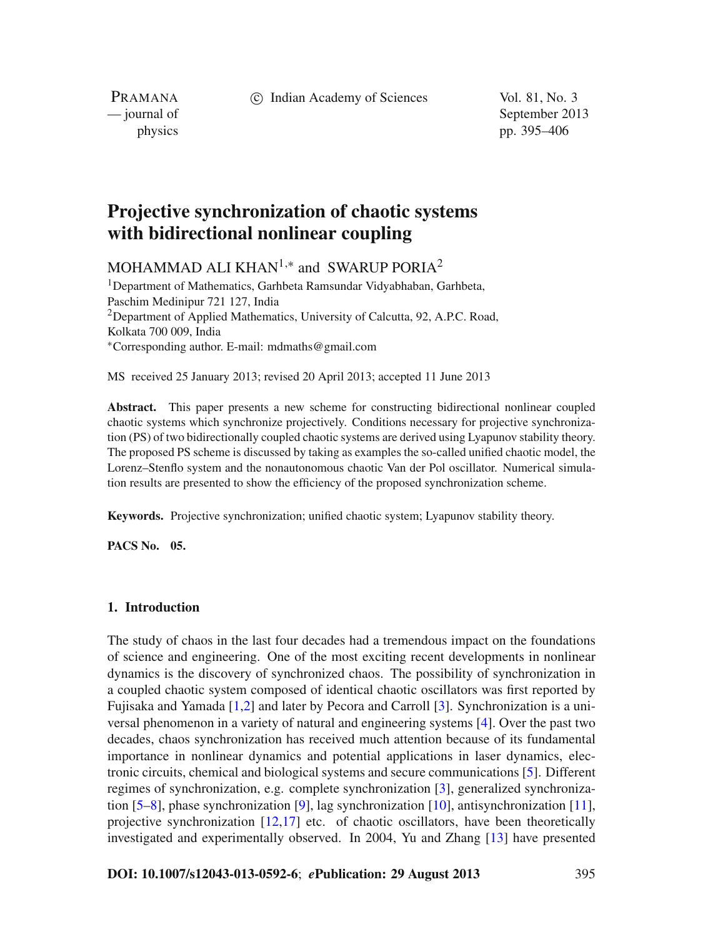c Indian Academy of Sciences Vol. 81, No. 3

PRAMANA

— journal of September 2013 physics pp. 395–406

# **Projective synchronization of chaotic systems with bidirectional nonlinear coupling**

MOHAMMAD ALI KHAN<sup>1,\*</sup> and SWARUP PORIA<sup>2</sup>

<sup>1</sup>Department of Mathematics, Garhbeta Ramsundar Vidyabhaban, Garhbeta, Paschim Medinipur 721 127, India <sup>2</sup>Department of Applied Mathematics, University of Calcutta, 92, A.P.C. Road, Kolkata 700 009, India <sup>∗</sup>Corresponding author. E-mail: mdmaths@gmail.com

MS received 25 January 2013; revised 20 April 2013; accepted 11 June 2013

**Abstract.** This paper presents a new scheme for constructing bidirectional nonlinear coupled chaotic systems which synchronize projectively. Conditions necessary for projective synchronization (PS) of two bidirectionally coupled chaotic systems are derived using Lyapunov stability theory. The proposed PS scheme is discussed by taking as examples the so-called unified chaotic model, the Lorenz–Stenflo system and the nonautonomous chaotic Van der Pol oscillator. Numerical simulation results are presented to show the efficiency of the proposed synchronization scheme.

**Keywords.** Projective synchronization; unified chaotic system; Lyapunov stability theory.

**PACS No. 05.**

# **1. Introduction**

The study of chaos in the last four decades had a tremendous impact on the foundations of science and engineering. One of the most exciting recent developments in nonlinear dynamics is the discovery of synchronized chaos. The possibility of synchronization in a coupled chaotic system composed of identical chaotic oscillators was first reported by Fujisaka and Yamada [\[1](#page-11-0)[,2\]](#page-11-1) and later by Pecora and Carroll [\[3](#page-11-2)]. Synchronization is a universal phenomenon in a variety of natural and engineering systems [\[4\]](#page-11-3). Over the past two decades, chaos synchronization has received much attention because of its fundamental importance in nonlinear dynamics and potential applications in laser dynamics, electronic circuits, chemical and biological systems and secure communications [\[5](#page-11-4)]. Different regimes of synchronization, e.g. complete synchronization [\[3\]](#page-11-2), generalized synchronization [\[5](#page-11-4)[–8](#page-11-5)], phase synchronization [\[9\]](#page-11-6), lag synchronization [\[10\]](#page-11-7), antisynchronization [\[11](#page-11-8)], projective synchronization  $[12,17]$  $[12,17]$  etc. of chaotic oscillators, have been theoretically investigated and experimentally observed. In 2004, Yu and Zhang [\[13\]](#page-11-11) have presented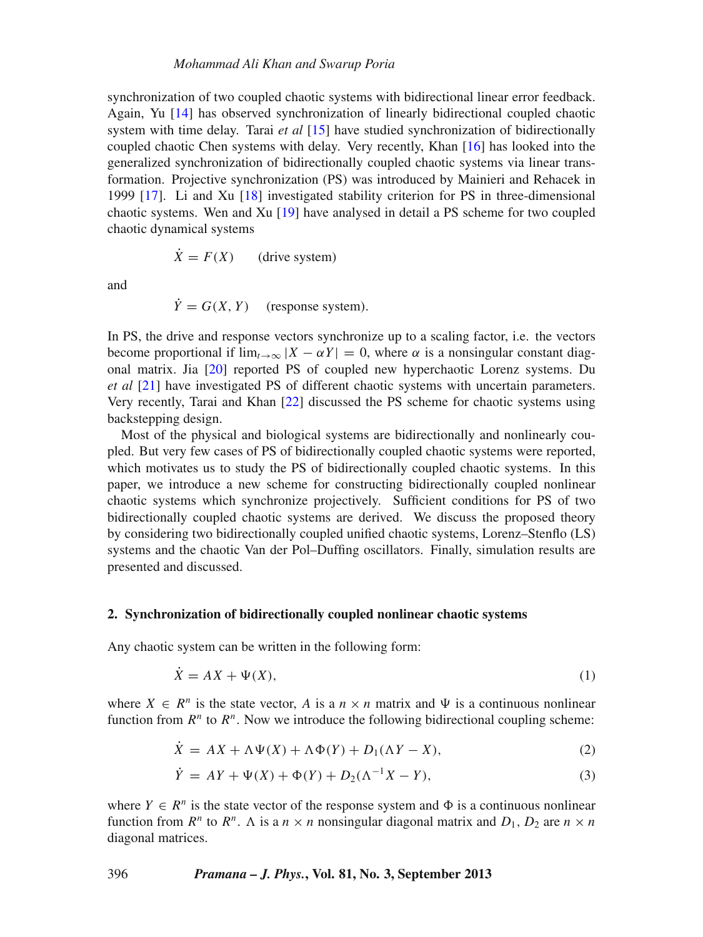synchronization of two coupled chaotic systems with bidirectional linear error feedback. Again, Yu [\[14\]](#page-11-12) has observed synchronization of linearly bidirectional coupled chaotic system with time delay. Tarai *et al* [\[15](#page-11-13)] have studied synchronization of bidirectionally coupled chaotic Chen systems with delay. Very recently, Khan [\[16\]](#page-11-14) has looked into the generalized synchronization of bidirectionally coupled chaotic systems via linear transformation. Projective synchronization (PS) was introduced by Mainieri and Rehacek in 1999 [\[17\]](#page-11-10). Li and Xu [\[18](#page-11-15)] investigated stability criterion for PS in three-dimensional chaotic systems. Wen and Xu [\[19](#page-11-16)] have analysed in detail a PS scheme for two coupled chaotic dynamical systems

$$
\dot{X} = F(X) \qquad \text{(drive system)}
$$

and

$$
\dot{Y} = G(X, Y) \quad \text{(response system)}.
$$

In PS, the drive and response vectors synchronize up to a scaling factor, i.e. the vectors become proportional if  $\lim_{t\to\infty} |X - \alpha Y| = 0$ , where  $\alpha$  is a nonsingular constant diagonal matrix. Jia [\[20\]](#page-11-17) reported PS of coupled new hyperchaotic Lorenz systems. Du *et al* [\[21](#page-11-18)] have investigated PS of different chaotic systems with uncertain parameters. Very recently, Tarai and Khan [\[22](#page-11-19)] discussed the PS scheme for chaotic systems using backstepping design.

Most of the physical and biological systems are bidirectionally and nonlinearly coupled. But very few cases of PS of bidirectionally coupled chaotic systems were reported, which motivates us to study the PS of bidirectionally coupled chaotic systems. In this paper, we introduce a new scheme for constructing bidirectionally coupled nonlinear chaotic systems which synchronize projectively. Sufficient conditions for PS of two bidirectionally coupled chaotic systems are derived. We discuss the proposed theory by considering two bidirectionally coupled unified chaotic systems, Lorenz–Stenflo (LS) systems and the chaotic Van der Pol–Duffing oscillators. Finally, simulation results are presented and discussed.

#### **2. Synchronization of bidirectionally coupled nonlinear chaotic systems**

Any chaotic system can be written in the following form:

$$
\dot{X} = AX + \Psi(X),\tag{1}
$$

where  $X \in \mathbb{R}^n$  is the state vector, A is a  $n \times n$  matrix and  $\Psi$  is a continuous nonlinear function from  $R^n$  to  $R^n$ . Now we introduce the following bidirectional coupling scheme:

<span id="page-1-0"></span>
$$
\dot{X} = AX + \Lambda\Psi(X) + \Lambda\Phi(Y) + D_1(\Lambda Y - X),\tag{2}
$$

$$
\dot{Y} = AY + \Psi(X) + \Phi(Y) + D_2(\Lambda^{-1}X - Y),
$$
\n(3)

where  $Y \in \mathbb{R}^n$  is the state vector of the response system and  $\Phi$  is a continuous nonlinear function from  $R^n$  to  $R^n$ . A is a  $n \times n$  nonsingular diagonal matrix and  $D_1$ ,  $D_2$  are  $n \times n$ diagonal matrices.

396 *Pramana – J. Phys.***, Vol. 81, No. 3, September 2013**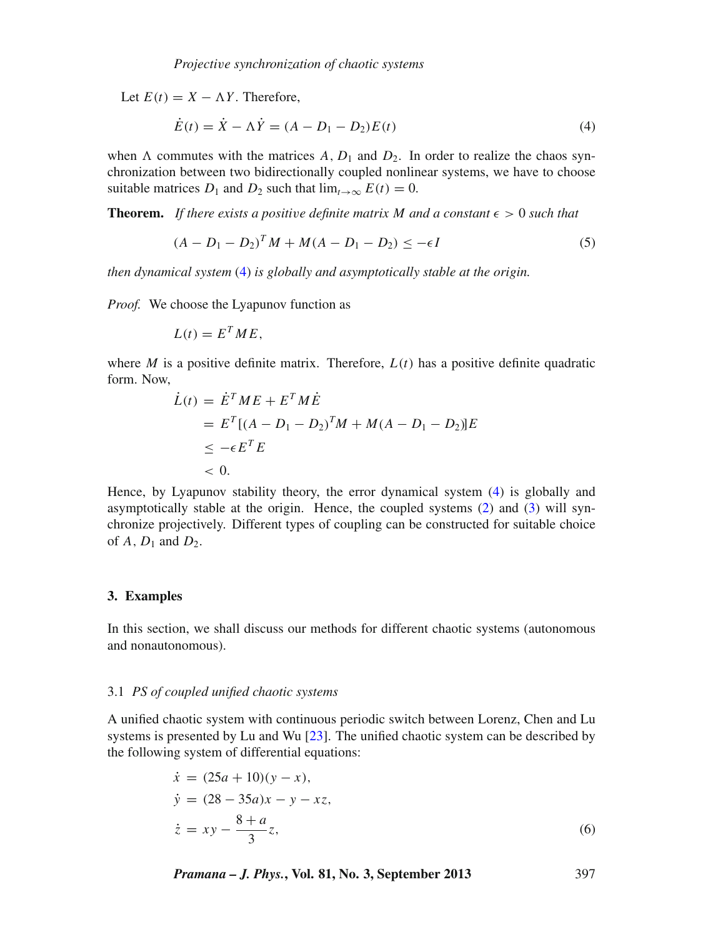Let  $E(t) = X - \Lambda Y$ . Therefore,

<span id="page-2-0"></span>
$$
\dot{E}(t) = \dot{X} - \Lambda \dot{Y} = (A - D_1 - D_2)E(t)
$$
\n(4)

when  $\Lambda$  commutes with the matrices  $A, D_1$  and  $D_2$ . In order to realize the chaos synchronization between two bidirectionally coupled nonlinear systems, we have to choose suitable matrices  $D_1$  and  $D_2$  such that  $\lim_{t\to\infty} E(t) = 0$ .

**Theorem.** If there exists a positive definite matrix M and a constant  $\epsilon > 0$  such that

$$
(A - D_1 - D_2)^T M + M(A - D_1 - D_2) \le -\epsilon I \tag{5}
$$

*then dynamical system* [\(4\)](#page-2-0) *is globally and asymptotically stable at the origin.*

*Proof.* We choose the Lyapunov function as

$$
L(t) = E^T M E,
$$

where *M* is a positive definite matrix. Therefore,  $L(t)$  has a positive definite quadratic form. Now,

$$
\dot{L}(t) = \dot{E}^T M E + E^T M \dot{E} \n= E^T [(A - D_1 - D_2)^T M + M(A - D_1 - D_2)] E \n\le -\epsilon E^T E \n< 0.
$$

Hence, by Lyapunov stability theory, the error dynamical system [\(4\)](#page-2-0) is globally and asymptotically stable at the origin. Hence, the coupled systems [\(2\)](#page-1-0) and [\(3\)](#page-1-0) will synchronize projectively. Different types of coupling can be constructed for suitable choice of  $A$ ,  $D_1$  and  $D_2$ .

# **3. Examples**

In this section, we shall discuss our methods for different chaotic systems (autonomous and nonautonomous).

#### 3.1 *PS of coupled unified chaotic systems*

A unified chaotic system with continuous periodic switch between Lorenz, Chen and Lu systems is presented by Lu and Wu [\[23\]](#page-11-20). The unified chaotic system can be described by the following system of differential equations:

<span id="page-2-1"></span>
$$
\begin{aligned}\n\dot{x} &= (25a + 10)(y - x), \\
\dot{y} &= (28 - 35a)x - y - xz, \\
\dot{z} &= xy - \frac{8 + a}{3}z,\n\end{aligned} \tag{6}
$$

*Pramana – J. Phys.***, Vol. 81, No. 3, September 2013** 397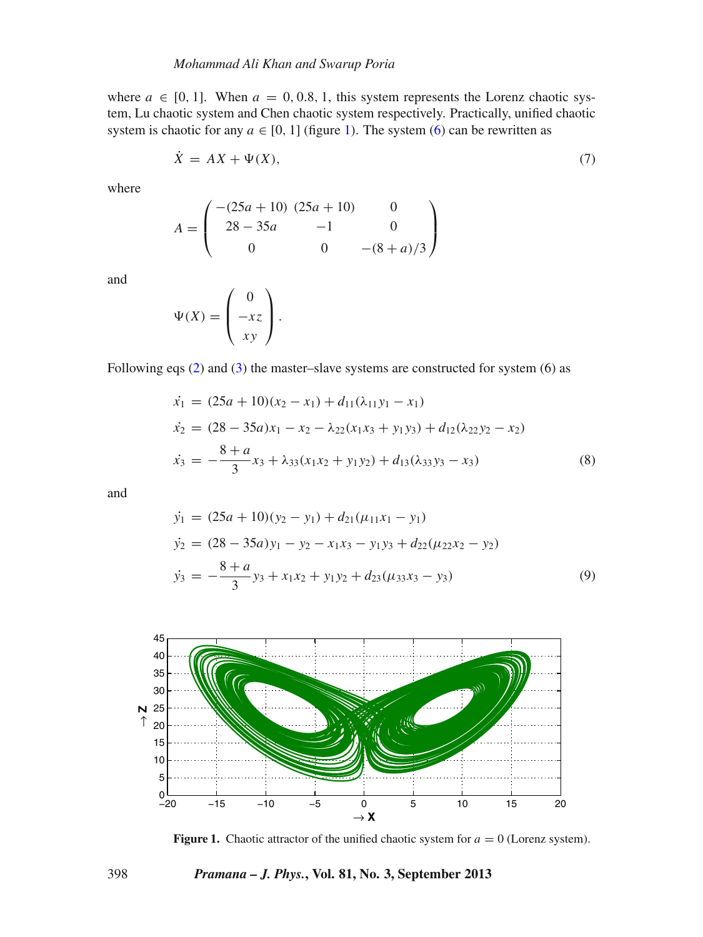where  $a \in [0, 1]$ . When  $a = 0, 0.8, 1$ , this system represents the Lorenz chaotic system, Lu chaotic system and Chen chaotic system respectively. Practically, unified chaotic system is chaotic for any  $a \in [0, 1]$  (figure [1\)](#page-3-0). The system [\(6\)](#page-2-1) can be rewritten as

$$
\dot{X} = AX + \Psi(X),\tag{7}
$$

where

$$
A = \begin{pmatrix} -(25a + 10) & (25a + 10) & 0 \\ 28 - 35a & -1 & 0 \\ 0 & 0 & -(8 + a)/3 \end{pmatrix}
$$

and

$$
\Psi(X) = \begin{pmatrix} 0 \\ -xz \\ xy \end{pmatrix}.
$$

Following eqs  $(2)$  and  $(3)$  the master–slave systems are constructed for system  $(6)$  as

$$
\begin{aligned}\n\dot{x}_1 &= (25a + 10)(x_2 - x_1) + d_{11}(\lambda_{11}y_1 - x_1) \\
\dot{x}_2 &= (28 - 35a)x_1 - x_2 - \lambda_{22}(x_1x_3 + y_1y_3) + d_{12}(\lambda_{22}y_2 - x_2) \\
\dot{x}_3 &= -\frac{8 + a}{3}x_3 + \lambda_{33}(x_1x_2 + y_1y_2) + d_{13}(\lambda_{33}y_3 - x_3)\n\end{aligned} \tag{8}
$$

and

$$
\begin{aligned}\n\dot{y}_1 &= (25a + 10)(y_2 - y_1) + d_{21}(\mu_{11}x_1 - y_1) \\
\dot{y}_2 &= (28 - 35a)y_1 - y_2 - x_1x_3 - y_1y_3 + d_{22}(\mu_{22}x_2 - y_2) \\
\dot{y}_3 &= -\frac{8 + a}{3}y_3 + x_1x_2 + y_1y_2 + d_{23}(\mu_{33}x_3 - y_3)\n\end{aligned}\n\tag{9}
$$

<span id="page-3-0"></span>

**Figure 1.** Chaotic attractor of the unified chaotic system for  $a = 0$  (Lorenz system).

# 398 *Pramana – J. Phys.***, Vol. 81, No. 3, September 2013**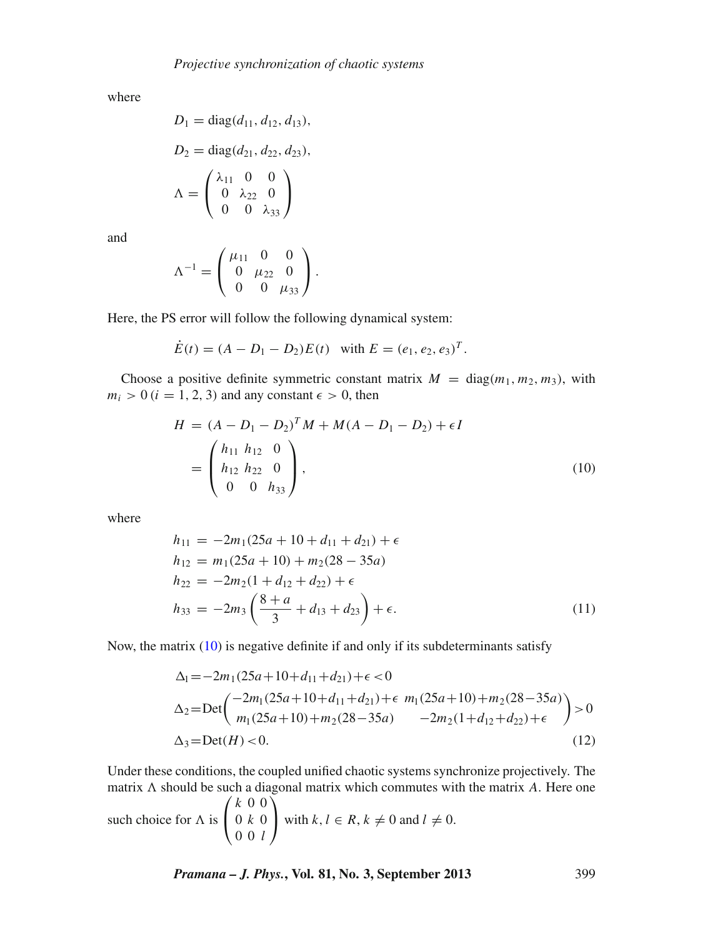where

$$
D_1 = \text{diag}(d_{11}, d_{12}, d_{13}),
$$
  
\n
$$
D_2 = \text{diag}(d_{21}, d_{22}, d_{23}),
$$
  
\n
$$
\Lambda = \begin{pmatrix} \lambda_{11} & 0 & 0 \\ 0 & \lambda_{22} & 0 \\ 0 & 0 & \lambda_{33} \end{pmatrix}
$$

and

$$
\Lambda^{-1} = \begin{pmatrix} \mu_{11} & 0 & 0 \\ 0 & \mu_{22} & 0 \\ 0 & 0 & \mu_{33} \end{pmatrix}.
$$

Here, the PS error will follow the following dynamical system:

<span id="page-4-0"></span>
$$
\dot{E}(t) = (A - D_1 - D_2)E(t) \text{ with } E = (e_1, e_2, e_3)^T.
$$

Choose a positive definite symmetric constant matrix  $M = \text{diag}(m_1, m_2, m_3)$ , with  $m_i > 0$  ( $i = 1, 2, 3$ ) and any constant  $\epsilon > 0$ , then

$$
H = (A - D_1 - D_2)^T M + M(A - D_1 - D_2) + \epsilon I
$$
  
= 
$$
\begin{pmatrix} h_{11} & h_{12} & 0 \\ h_{12} & h_{22} & 0 \\ 0 & 0 & h_{33} \end{pmatrix},
$$
 (10)

where

$$
h_{11} = -2m_1(25a + 10 + d_{11} + d_{21}) + \epsilon
$$
  
\n
$$
h_{12} = m_1(25a + 10) + m_2(28 - 35a)
$$
  
\n
$$
h_{22} = -2m_2(1 + d_{12} + d_{22}) + \epsilon
$$
  
\n
$$
h_{33} = -2m_3\left(\frac{8+a}{3} + d_{13} + d_{23}\right) + \epsilon.
$$
\n(11)

Now, the matrix [\(10\)](#page-4-0) is negative definite if and only if its subdeterminants satisfy

$$
\Delta_1 = -2m_1(25a + 10 + d_{11} + d_{21}) + \epsilon < 0
$$
\n
$$
\Delta_2 = \text{Det}\left(\begin{array}{c} -2m_1(25a + 10 + d_{11} + d_{21}) + \epsilon & m_1(25a + 10) + m_2(28 - 35a) \\ m_1(25a + 10) + m_2(28 - 35a) & -2m_2(1 + d_{12} + d_{22}) + \epsilon \end{array}\right) > 0
$$
\n
$$
\Delta_3 = \text{Det}(H) < 0. \tag{12}
$$

Under these conditions, the coupled unified chaotic systems synchronize projectively. The matrix  $\Lambda$  should be such a diagonal matrix which commutes with the matrix  $\Lambda$ . Here one such choice for  $\Lambda$  is  $\sqrt{ }$  $\mathbf{I}$ *k* 0 0 0 *k* 0 0 0 *l*  $\setminus$ with  $k, l \in R, k \neq 0$  and  $l \neq 0$ .

*Pramana – J. Phys.***, Vol. 81, No. 3, September 2013** 399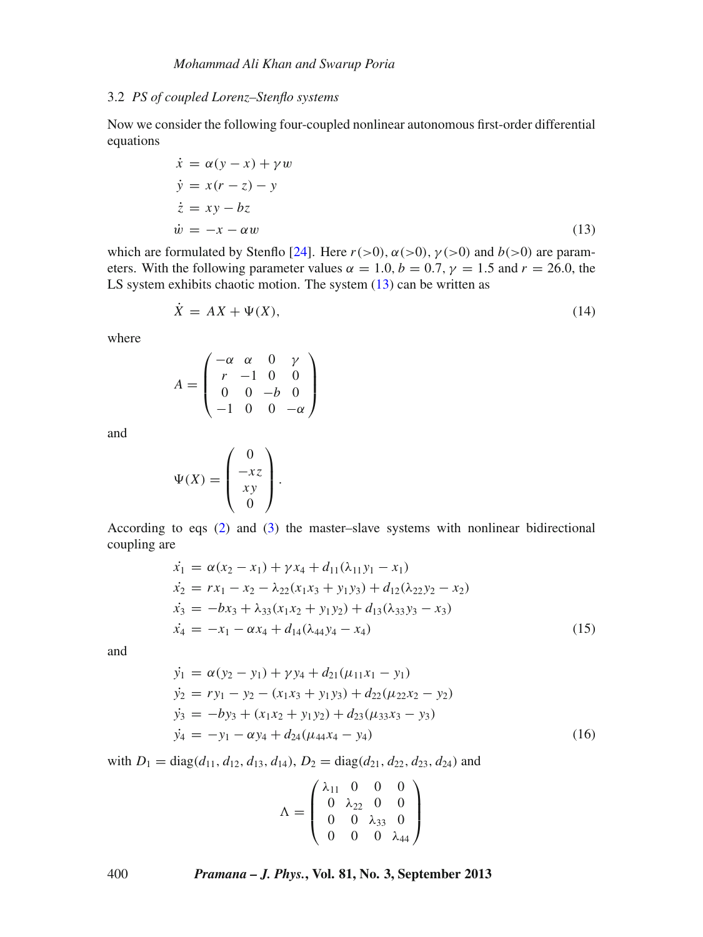# 3.2 *PS of coupled Lorenz–Stenflo systems*

Now we consider the following four-coupled nonlinear autonomous first-order differential equations

<span id="page-5-0"></span>
$$
\begin{aligned}\n\dot{x} &= \alpha(y - x) + \gamma w \\
\dot{y} &= x(r - z) - y \\
\dot{z} &= xy - bz \\
\dot{w} &= -x - \alpha w\n\end{aligned} \tag{13}
$$

which are formulated by Stenflo [\[24](#page-11-21)]. Here  $r(>0)$ ,  $\alpha(>0)$ ,  $\gamma(>0)$  and  $b(>0)$  are parameters. With the following parameter values  $\alpha = 1.0, b = 0.7, \gamma = 1.5$  and  $r = 26.0$ , the LS system exhibits chaotic motion. The system  $(13)$  can be written as

$$
\dot{X} = AX + \Psi(X),\tag{14}
$$

where

$$
A = \begin{pmatrix} -\alpha & \alpha & 0 & \gamma \\ r & -1 & 0 & 0 \\ 0 & 0 & -b & 0 \\ -1 & 0 & 0 & -\alpha \end{pmatrix}
$$

and

$$
\Psi(X) = \begin{pmatrix} 0 \\ -xz \\ xy \\ 0 \end{pmatrix}.
$$

According to eqs [\(2\)](#page-1-0) and [\(3\)](#page-1-0) the master–slave systems with nonlinear bidirectional coupling are

<span id="page-5-1"></span>
$$
\begin{aligned}\n\dot{x}_1 &= \alpha(x_2 - x_1) + \gamma x_4 + d_{11}(\lambda_{11}y_1 - x_1) \\
\dot{x}_2 &= rx_1 - x_2 - \lambda_{22}(x_1x_3 + y_1y_3) + d_{12}(\lambda_{22}y_2 - x_2) \\
\dot{x}_3 &= -bx_3 + \lambda_{33}(x_1x_2 + y_1y_2) + d_{13}(\lambda_{33}y_3 - x_3) \\
\dot{x}_4 &= -x_1 - \alpha x_4 + d_{14}(\lambda_{44}y_4 - x_4)\n\end{aligned} \tag{15}
$$

and

<span id="page-5-2"></span>
$$
\begin{aligned}\n\dot{y}_1 &= \alpha (y_2 - y_1) + \gamma y_4 + d_{21} (\mu_{11} x_1 - y_1) \\
\dot{y}_2 &= r y_1 - y_2 - (x_1 x_3 + y_1 y_3) + d_{22} (\mu_{22} x_2 - y_2) \\
\dot{y}_3 &= -b y_3 + (x_1 x_2 + y_1 y_2) + d_{23} (\mu_{33} x_3 - y_3) \\
\dot{y}_4 &= -y_1 - \alpha y_4 + d_{24} (\mu_{44} x_4 - y_4)\n\end{aligned}
$$
\n(16)

with  $D_1 = \text{diag}(d_{11}, d_{12}, d_{13}, d_{14}), D_2 = \text{diag}(d_{21}, d_{22}, d_{23}, d_{24})$  and

$$
\Lambda = \begin{pmatrix} \lambda_{11} & 0 & 0 & 0 \\ 0 & \lambda_{22} & 0 & 0 \\ 0 & 0 & \lambda_{33} & 0 \\ 0 & 0 & 0 & \lambda_{44} \end{pmatrix}
$$

400 *Pramana – J. Phys.***, Vol. 81, No. 3, September 2013**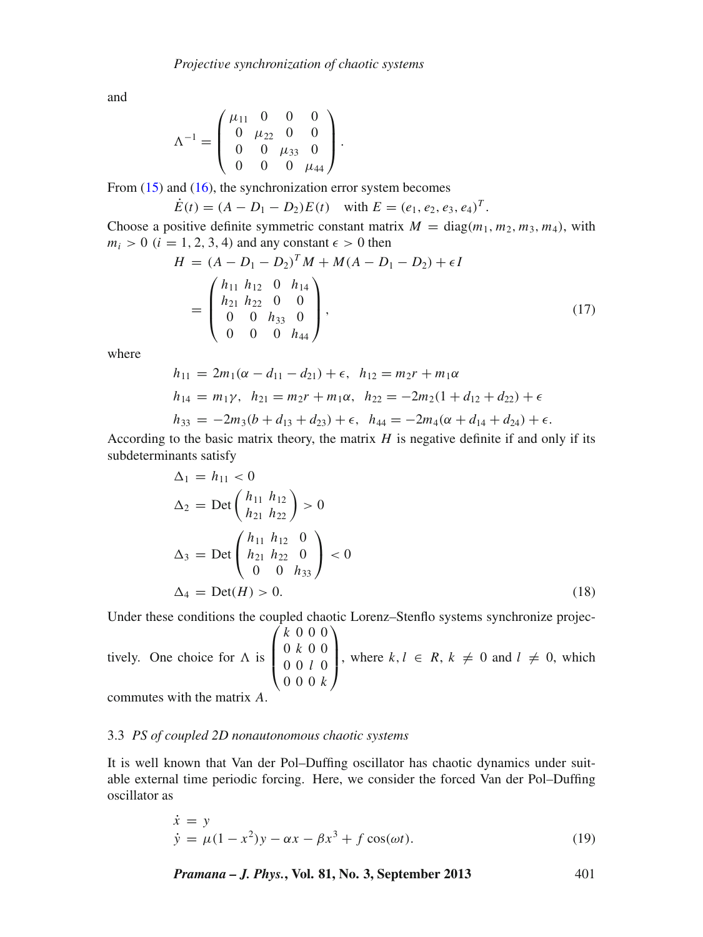and

$$
\Lambda^{-1} = \begin{pmatrix} \mu_{11} & 0 & 0 & 0 \\ 0 & \mu_{22} & 0 & 0 \\ 0 & 0 & \mu_{33} & 0 \\ 0 & 0 & 0 & \mu_{44} \end{pmatrix}.
$$

From  $(15)$  and  $(16)$ , the synchronization error system becomes

$$
\dot{E}(t) = (A - D_1 - D_2)E(t) \quad \text{with } E = (e_1, e_2, e_3, e_4)^T.
$$

Choose a positive definite symmetric constant matrix  $M = \text{diag}(m_1, m_2, m_3, m_4)$ , with  $m_i > 0$  ( $i = 1, 2, 3, 4$ ) and any constant  $\epsilon > 0$  then

$$
H = (A - D_1 - D_2)^T M + M(A - D_1 - D_2) + \epsilon I
$$
  
= 
$$
\begin{pmatrix} h_{11} & h_{12} & 0 & h_{14} \\ h_{21} & h_{22} & 0 & 0 \\ 0 & 0 & h_{33} & 0 \\ 0 & 0 & 0 & h_{44} \end{pmatrix},
$$
(17)

where

$$
h_{11} = 2m_1(\alpha - d_{11} - d_{21}) + \epsilon, \quad h_{12} = m_2r + m_1\alpha
$$
  
\n
$$
h_{14} = m_1\gamma, \quad h_{21} = m_2r + m_1\alpha, \quad h_{22} = -2m_2(1 + d_{12} + d_{22}) + \epsilon
$$
  
\n
$$
h_{33} = -2m_3(b + d_{13} + d_{23}) + \epsilon, \quad h_{44} = -2m_4(\alpha + d_{14} + d_{24}) + \epsilon.
$$

According to the basic matrix theory, the matrix *H* is negative definite if and only if its subdeterminants satisfy

$$
\Delta_1 = h_{11} < 0
$$
  
\n
$$
\Delta_2 = \text{Det}\begin{pmatrix} h_{11} & h_{12} \\ h_{21} & h_{22} \end{pmatrix} > 0
$$
  
\n
$$
\Delta_3 = \text{Det}\begin{pmatrix} h_{11} & h_{12} & 0 \\ h_{21} & h_{22} & 0 \\ 0 & 0 & h_{33} \end{pmatrix} < 0
$$
  
\n
$$
\Delta_4 = \text{Det}(H) > 0.
$$
\n(18)

Under these conditions the coupled chaotic Lorenz–Stenflo systems synchronize projec-

tively. One choice for  $\Lambda$  is  $\sqrt{2}$  $\vert$ *k* 000 0 *k* 0 0 0 0 *l* 0 000 *k*  $\setminus$  $\sqrt{ }$ , where  $k, l \in R$ ,  $k \neq 0$  and  $l \neq 0$ , which

commutes with the matrix *A*.

#### 3.3 *PS of coupled 2D nonautonomous chaotic systems*

It is well known that Van der Pol–Duffing oscillator has chaotic dynamics under suitable external time periodic forcing. Here, we consider the forced Van der Pol–Duffing oscillator as

$$
\dot{x} = y \n\dot{y} = \mu(1 - x^2)y - \alpha x - \beta x^3 + f \cos(\omega t).
$$
\n(19)

*Pramana – J. Phys.***, Vol. 81, No. 3, September 2013** 401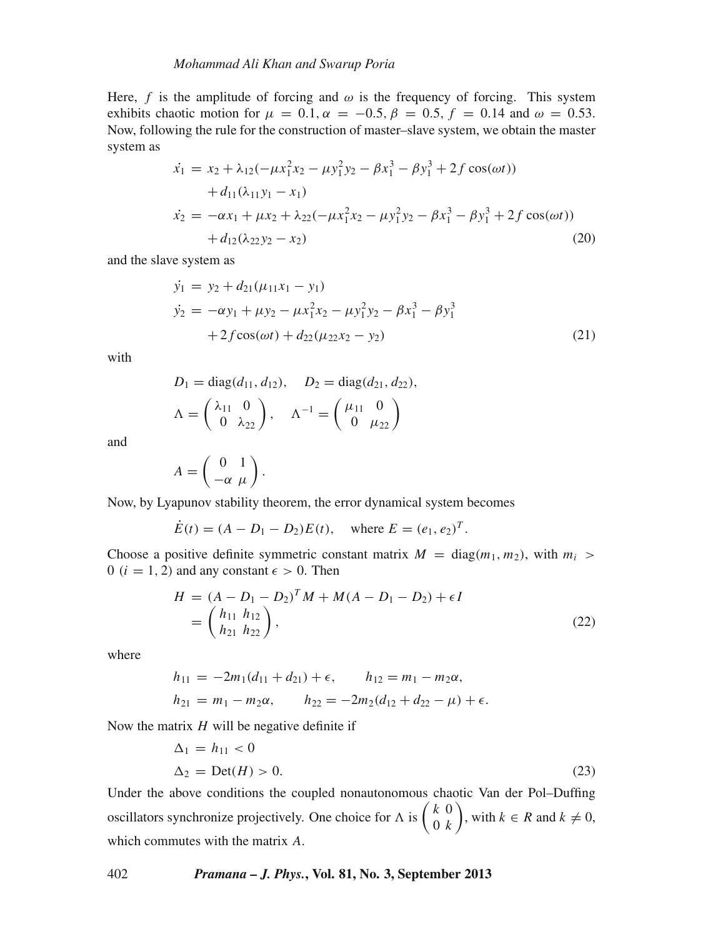Here, *f* is the amplitude of forcing and  $\omega$  is the frequency of forcing. This system exhibits chaotic motion for  $\mu = 0.1$ ,  $\alpha = -0.5$ ,  $\beta = 0.5$ ,  $f = 0.14$  and  $\omega = 0.53$ . Now, following the rule for the construction of master–slave system, we obtain the master system as

$$
\begin{aligned}\n\dot{x}_1 &= x_2 + \lambda_{12}(-\mu x_1^2 x_2 - \mu y_1^2 y_2 - \beta x_1^3 - \beta y_1^3 + 2f \cos(\omega t)) \\
&+ d_{11}(\lambda_{11} y_1 - x_1) \\
\dot{x}_2 &= -\alpha x_1 + \mu x_2 + \lambda_{22}(-\mu x_1^2 x_2 - \mu y_1^2 y_2 - \beta x_1^3 - \beta y_1^3 + 2f \cos(\omega t)) \\
&+ d_{12}(\lambda_{22} y_2 - x_2)\n\end{aligned} \tag{20}
$$

and the slave system as

$$
\dot{y}_1 = y_2 + d_{21}(\mu_{11}x_1 - y_1)
$$
\n
$$
\dot{y}_2 = -\alpha y_1 + \mu y_2 - \mu x_1^2 x_2 - \mu y_1^2 y_2 - \beta x_1^3 - \beta y_1^3
$$
\n
$$
+ 2f \cos(\omega t) + d_{22}(\mu_{22}x_2 - y_2)
$$
\n(21)

with

$$
D_1 = \text{diag}(d_{11}, d_{12}), \quad D_2 = \text{diag}(d_{21}, d_{22}),
$$
  

$$
\Lambda = \begin{pmatrix} \lambda_{11} & 0 \\ 0 & \lambda_{22} \end{pmatrix}, \quad \Lambda^{-1} = \begin{pmatrix} \mu_{11} & 0 \\ 0 & \mu_{22} \end{pmatrix}
$$

and

$$
A = \left(\begin{array}{cc} 0 & 1 \\ -\alpha & \mu \end{array}\right).
$$

Now, by Lyapunov stability theorem, the error dynamical system becomes

$$
\dot{E}(t) = (A - D_1 - D_2)E(t)
$$
, where  $E = (e_1, e_2)^T$ .

Choose a positive definite symmetric constant matrix  $M = \text{diag}(m_1, m_2)$ , with  $m_i >$ 0 ( $i = 1, 2$ ) and any constant  $\epsilon > 0$ . Then

$$
H = (A - D_1 - D_2)^T M + M(A - D_1 - D_2) + \epsilon I
$$
  
=  $\begin{pmatrix} h_{11} & h_{12} \\ h_{21} & h_{22} \end{pmatrix}$ , (22)

where

$$
h_{11} = -2m_1(d_{11} + d_{21}) + \epsilon, \qquad h_{12} = m_1 - m_2\alpha,
$$
  
\n
$$
h_{21} = m_1 - m_2\alpha, \qquad h_{22} = -2m_2(d_{12} + d_{22} - \mu) + \epsilon.
$$

Now the matrix *H* will be negative definite if

$$
\Delta_1 = h_{11} < 0
$$
\n
$$
\Delta_2 = \text{Det}(H) > 0. \tag{23}
$$

Under the above conditions the coupled nonautonomous chaotic Van der Pol–Duffing oscillators synchronize projectively. One choice for  $\Lambda$  is  $\begin{pmatrix} k & 0 \\ 0 & k \end{pmatrix}$  $(k, k)$ , with  $k \in R$  and  $k \neq 0$ , which commutes with the matrix *A*.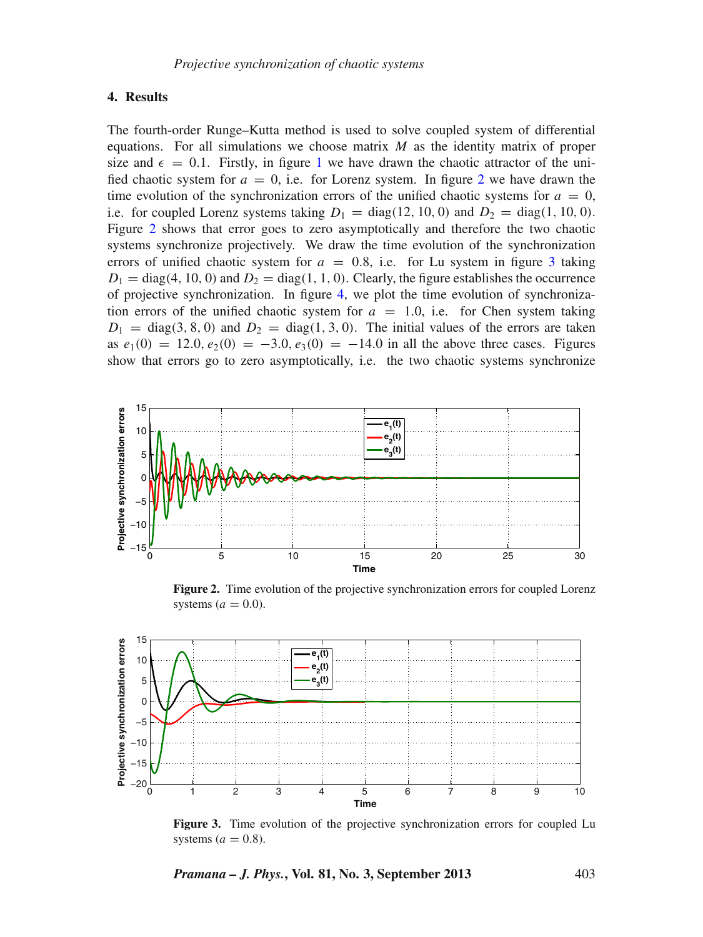# **4. Results**

The fourth-order Runge–Kutta method is used to solve coupled system of differential equations. For all simulations we choose matrix *M* as the identity matrix of proper size and  $\epsilon = 0.1$  $\epsilon = 0.1$ . Firstly, in figure 1 we have drawn the chaotic attractor of the unified chaotic system for  $a = 0$ , i.e. for Lorenz system. In figure [2](#page-8-0) we have drawn the time evolution of the synchronization errors of the unified chaotic systems for  $a = 0$ , i.e. for coupled Lorenz systems taking  $D_1 = \text{diag}(12, 10, 0)$  and  $D_2 = \text{diag}(1, 10, 0)$ . Figure [2](#page-8-0) shows that error goes to zero asymptotically and therefore the two chaotic systems synchronize projectively. We draw the time evolution of the synchronization errors of unified chaotic system for  $a = 0.8$ , i.e. for Lu system in figure [3](#page-8-1) taking  $D_1 = \text{diag}(4, 10, 0)$  and  $D_2 = \text{diag}(1, 1, 0)$ . Clearly, the figure establishes the occurrence of projective synchronization. In figure [4,](#page-9-0) we plot the time evolution of synchronization errors of the unified chaotic system for  $a = 1.0$ , i.e. for Chen system taking  $D_1 = \text{diag}(3, 8, 0)$  and  $D_2 = \text{diag}(1, 3, 0)$ . The initial values of the errors are taken as  $e_1(0) = 12.0, e_2(0) = -3.0, e_3(0) = -14.0$  in all the above three cases. Figures show that errors go to zero asymptotically, i.e. the two chaotic systems synchronize

<span id="page-8-0"></span>

Figure 2. Time evolution of the projective synchronization errors for coupled Lorenz systems  $(a = 0.0)$ .

<span id="page-8-1"></span>

**Figure 3.** Time evolution of the projective synchronization errors for coupled Lu systems  $(a = 0.8)$ .

*Pramana – J. Phys.***, Vol. 81, No. 3, September 2013** 403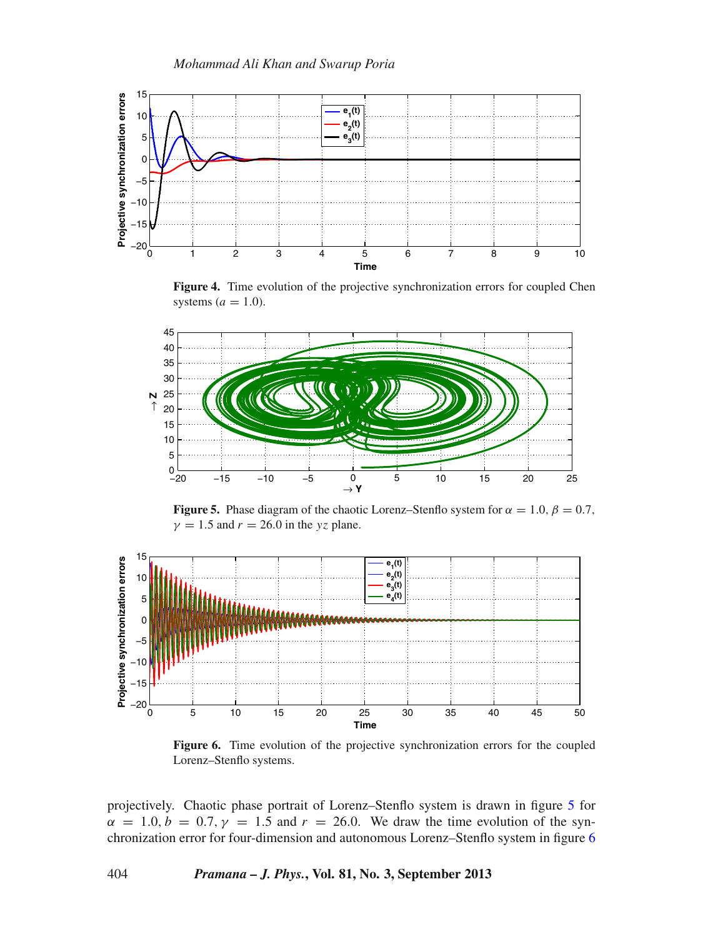<span id="page-9-0"></span>

**Figure 4.** Time evolution of the projective synchronization errors for coupled Chen systems  $(a = 1.0)$ .

<span id="page-9-1"></span>

**Figure 5.** Phase diagram of the chaotic Lorenz–Stenflo system for  $\alpha = 1.0$ ,  $\beta = 0.7$ ,  $\gamma = 1.5$  and  $r = 26.0$  in the *yz* plane.

<span id="page-9-2"></span>

**Figure 6.** Time evolution of the projective synchronization errors for the coupled Lorenz–Stenflo systems.

projectively. Chaotic phase portrait of Lorenz–Stenflo system is drawn in figure [5](#page-9-1) for  $\alpha = 1.0, b = 0.7, \gamma = 1.5$  and  $r = 26.0$ . We draw the time evolution of the synchronization error for four-dimension and autonomous Lorenz–Stenflo system in figure [6](#page-9-2)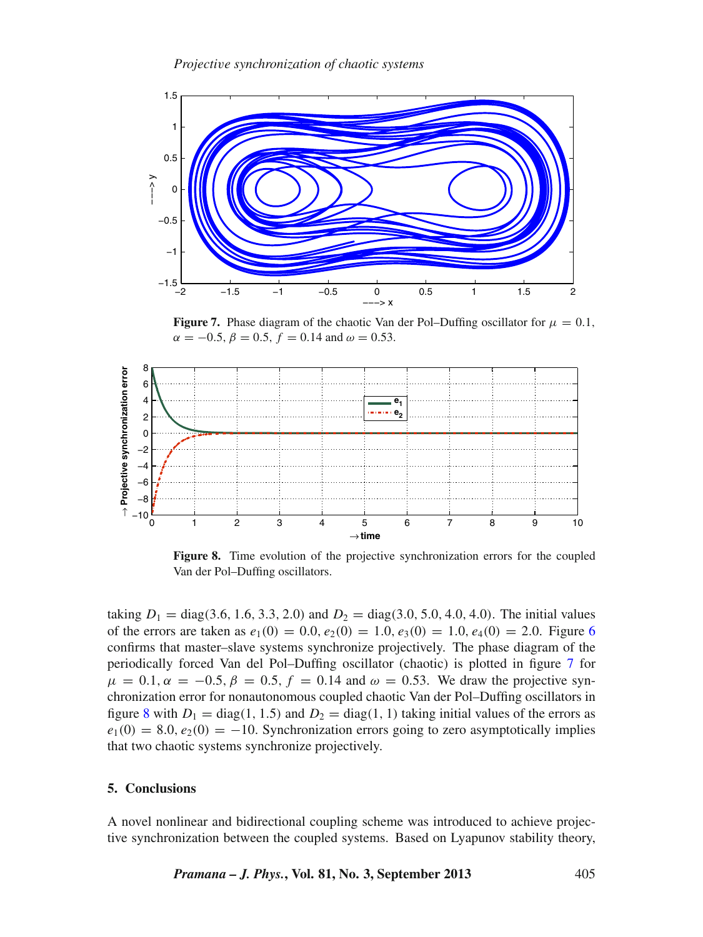<span id="page-10-0"></span>

**Figure 7.** Phase diagram of the chaotic Van der Pol–Duffing oscillator for  $\mu = 0.1$ ,  $\alpha = -0.5, \beta = 0.5, f = 0.14$  and  $\omega = 0.53$ .

<span id="page-10-1"></span>

**Figure 8.** Time evolution of the projective synchronization errors for the coupled Van der Pol–Duffing oscillators.

taking  $D_1 = \text{diag}(3.6, 1.6, 3.3, 2.0)$  and  $D_2 = \text{diag}(3.0, 5.0, 4.0, 4.0)$ . The initial values of the errors are taken as  $e_1(0) = 0.0$ ,  $e_2(0) = 1.0$ ,  $e_3(0) = 1.0$ ,  $e_4(0) = 2.0$ . Figure [6](#page-9-2) confirms that master–slave systems synchronize projectively. The phase diagram of the periodically forced Van del Pol–Duffing oscillator (chaotic) is plotted in figure [7](#page-10-0) for  $\mu = 0.1, \alpha = -0.5, \beta = 0.5, f = 0.14$  and  $\omega = 0.53$ . We draw the projective synchronization error for nonautonomous coupled chaotic Van der Pol–Duffing oscillators in figure [8](#page-10-1) with  $D_1 = \text{diag}(1, 1.5)$  and  $D_2 = \text{diag}(1, 1)$  taking initial values of the errors as  $e_1(0) = 8.0, e_2(0) = -10$ . Synchronization errors going to zero asymptotically implies that two chaotic systems synchronize projectively.

# **5. Conclusions**

A novel nonlinear and bidirectional coupling scheme was introduced to achieve projective synchronization between the coupled systems. Based on Lyapunov stability theory,